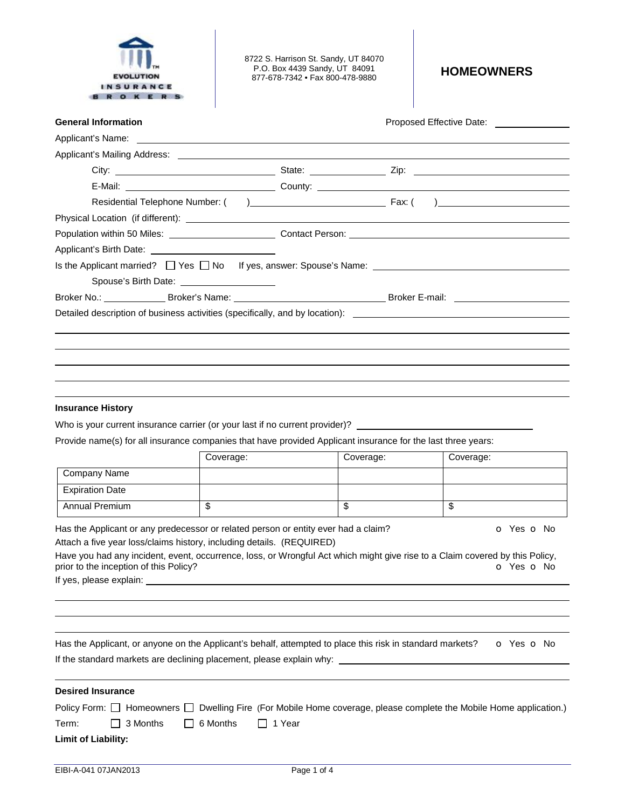

8722 S. Harrison St. Sandy, UT 84070 P.O. Box 4439 Sandy, UT 84091 P.O. Box 4439 Sandy, UT 84091 **HOMEOWNERS** 877-678-7342 • Fax 800-478-9880

| <b>General Information</b>                                                                                      | Proposed Effective Date: ________________ |
|-----------------------------------------------------------------------------------------------------------------|-------------------------------------------|
|                                                                                                                 |                                           |
| Applicant's Mailing Address: Notified and September 2014 and September 2014 and September 2014 and September 20 |                                           |
|                                                                                                                 |                                           |
|                                                                                                                 |                                           |
|                                                                                                                 |                                           |
|                                                                                                                 |                                           |
| Population within 50 Miles: _______________________________Contact Person: ___________________________________  |                                           |
|                                                                                                                 |                                           |
| Is the Applicant married? □ Yes □ No If yes, answer: Spouse's Name: _______________________________             |                                           |
| Spouse's Birth Date: ______________________                                                                     |                                           |
|                                                                                                                 |                                           |
| Detailed description of business activities (specifically, and by location):                                    |                                           |
|                                                                                                                 |                                           |
|                                                                                                                 |                                           |
|                                                                                                                 |                                           |
|                                                                                                                 |                                           |

## **Insurance History**

֦

֦

֦

l

Who is your current insurance carrier (or your last if no current provider)? \_

Provide name(s) for all insurance companies that have provided Applicant insurance for the last three years:

|                        | Coverage: | Coverage: | Coverage: |
|------------------------|-----------|-----------|-----------|
| Company Name           |           |           |           |
| <b>Expiration Date</b> |           |           |           |
| Annual Premium         | จ         | Φ         | ◡         |

Has the Applicant or any predecessor or related person or entity ever had a claim?  $\bullet$  Yes  $\bullet$  No Attach a five year loss/claims history, including details. (REQUIRED)

Have you had any incident, event, occurrence, loss, or Wrongful Act which might give rise to a Claim covered by this Policy, prior to the inception of this Policy? prior to the inception of this Policy?

If yes, please explain:

| Has the Applicant, or anyone on the Applicant's behalf, attempted to place this risk in standard markets? | o Yes o No |
|-----------------------------------------------------------------------------------------------------------|------------|
| If the standard markets are declining placement, please explain why:                                      |            |

| <b>Desired Insurance</b> |  |                                                     |  |  |  |                                                                                                                              |  |
|--------------------------|--|-----------------------------------------------------|--|--|--|------------------------------------------------------------------------------------------------------------------------------|--|
|                          |  |                                                     |  |  |  | Policy Form: $\Box$ Homeowners $\Box$ Dwelling Fire (For Mobile Home coverage, please complete the Mobile Home application.) |  |
|                          |  | $Term: \Box$ 3 Months $\Box$ 6 Months $\Box$ 1 Year |  |  |  |                                                                                                                              |  |
| Limit of Liability:      |  |                                                     |  |  |  |                                                                                                                              |  |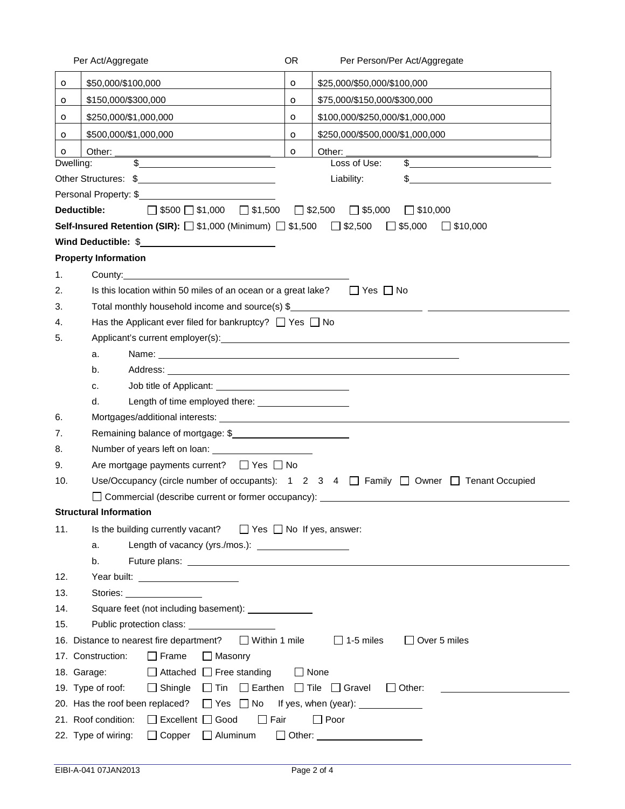|             | Per Act/Aggregate                                                                                                                                                                                                              | OR.     | Per Person/Per Act/Aggregate                                                                                                  |  |  |  |  |
|-------------|--------------------------------------------------------------------------------------------------------------------------------------------------------------------------------------------------------------------------------|---------|-------------------------------------------------------------------------------------------------------------------------------|--|--|--|--|
| $\circ$     | \$50,000/\$100,000                                                                                                                                                                                                             | $\circ$ | \$25,000/\$50,000/\$100,000                                                                                                   |  |  |  |  |
| $\circ$     | \$150,000/\$300,000                                                                                                                                                                                                            | $\circ$ | \$75,000/\$150,000/\$300,000                                                                                                  |  |  |  |  |
| $\mathbf o$ | \$250,000/\$1,000,000                                                                                                                                                                                                          | $\circ$ | \$100,000/\$250,000/\$1,000,000                                                                                               |  |  |  |  |
| $\circ$     | \$500,000/\$1,000,000                                                                                                                                                                                                          | $\circ$ | \$250,000/\$500,000/\$1,000,000                                                                                               |  |  |  |  |
| $\circ$     | Other:                                                                                                                                                                                                                         | $\circ$ | Other:                                                                                                                        |  |  |  |  |
|             | $\frac{1}{2}$<br>Dwelling:                                                                                                                                                                                                     |         | Loss of Use:<br>$\frac{1}{2}$                                                                                                 |  |  |  |  |
|             |                                                                                                                                                                                                                                |         | Liability:                                                                                                                    |  |  |  |  |
|             | Personal Property: \$                                                                                                                                                                                                          |         |                                                                                                                               |  |  |  |  |
|             | $\Box$ \$500 $\Box$ \$1,000 $\Box$ \$1,500<br>Deductible:                                                                                                                                                                      |         | $\Box$ \$2,500<br>$\Box$ \$5,000<br>$\Box$ \$10,000                                                                           |  |  |  |  |
|             | <b>Self-Insured Retention (SIR):</b> $\Box$ \$1,000 (Minimum) $\Box$ \$1,500                                                                                                                                                   |         | $\Box$ \$2,500<br>$\Box$ \$5,000<br>$\Box$ \$10,000                                                                           |  |  |  |  |
|             | Wind Deductible: \$                                                                                                                                                                                                            |         |                                                                                                                               |  |  |  |  |
|             | <b>Property Information</b>                                                                                                                                                                                                    |         |                                                                                                                               |  |  |  |  |
| 1.          |                                                                                                                                                                                                                                |         |                                                                                                                               |  |  |  |  |
| 2.          | Is this location within 50 miles of an ocean or a great lake?                                                                                                                                                                  |         | $\Box$ Yes $\Box$ No                                                                                                          |  |  |  |  |
| 3.          | Total monthly household income and source(s) \$__________________________________                                                                                                                                              |         |                                                                                                                               |  |  |  |  |
| 4.          | Has the Applicant ever filed for bankruptcy? $\Box$ Yes $\Box$ No                                                                                                                                                              |         |                                                                                                                               |  |  |  |  |
| 5.          |                                                                                                                                                                                                                                |         |                                                                                                                               |  |  |  |  |
|             | a.                                                                                                                                                                                                                             |         |                                                                                                                               |  |  |  |  |
|             | b.                                                                                                                                                                                                                             |         |                                                                                                                               |  |  |  |  |
|             | c.                                                                                                                                                                                                                             |         |                                                                                                                               |  |  |  |  |
|             | d.                                                                                                                                                                                                                             |         |                                                                                                                               |  |  |  |  |
| 6.          |                                                                                                                                                                                                                                |         |                                                                                                                               |  |  |  |  |
| 7.          | Remaining balance of mortgage: \$                                                                                                                                                                                              |         |                                                                                                                               |  |  |  |  |
| 8.          |                                                                                                                                                                                                                                |         |                                                                                                                               |  |  |  |  |
| 9.          | Are mortgage payments current? $\Box$ Yes $\Box$ No                                                                                                                                                                            |         |                                                                                                                               |  |  |  |  |
| 10.         |                                                                                                                                                                                                                                |         | Use/Occupancy (circle number of occupants): $1 \quad 2 \quad 3 \quad 4 \quad \Box$ Family $\Box$ Owner $\Box$ Tenant Occupied |  |  |  |  |
|             |                                                                                                                                                                                                                                |         | Commercial (describe current or former occupancy): ______________________________                                             |  |  |  |  |
|             | Structural Information <b>Structural</b> Information                                                                                                                                                                           |         |                                                                                                                               |  |  |  |  |
| 11.         | $\Box$ Yes $\Box$ No If yes, answer:<br>Is the building currently vacant?                                                                                                                                                      |         |                                                                                                                               |  |  |  |  |
|             | a.                                                                                                                                                                                                                             |         |                                                                                                                               |  |  |  |  |
|             | b.                                                                                                                                                                                                                             |         |                                                                                                                               |  |  |  |  |
| 12.         | Year built: The contract of the contract of the contract of the contract of the contract of the contract of the contract of the contract of the contract of the contract of the contract of the contract of the contract of th |         |                                                                                                                               |  |  |  |  |
| 13.         | Stories: _________________                                                                                                                                                                                                     |         |                                                                                                                               |  |  |  |  |
| 14.         |                                                                                                                                                                                                                                |         |                                                                                                                               |  |  |  |  |
| 15.         |                                                                                                                                                                                                                                |         |                                                                                                                               |  |  |  |  |
|             | $\Box$ Within 1 mile<br>$\Box$ 1-5 miles<br>$\Box$ Over 5 miles<br>16. Distance to nearest fire department?                                                                                                                    |         |                                                                                                                               |  |  |  |  |
|             | $\Box$ Frame<br>$\Box$ Masonry<br>17. Construction:                                                                                                                                                                            |         |                                                                                                                               |  |  |  |  |
|             | $\Box$ Attached $\Box$ Free standing<br>18. Garage:                                                                                                                                                                            |         | $\Box$ None                                                                                                                   |  |  |  |  |
|             | $\Box$ Tin $\Box$ Earthen $\Box$ Tile $\Box$ Gravel<br>19. Type of roof:<br>$\Box$ Shingle                                                                                                                                     |         | $\Box$ Other:                                                                                                                 |  |  |  |  |
|             | 20. Has the roof been replaced?<br>$\Box$ Yes $\Box$ No                                                                                                                                                                        |         |                                                                                                                               |  |  |  |  |
|             | 21. Roof condition:<br>$\Box$ Excellent $\Box$ Good<br>$\Box$ Fair                                                                                                                                                             |         | $\Box$ Poor                                                                                                                   |  |  |  |  |
|             | 22. Type of wiring:<br>$\Box$ Copper<br>$\Box$ Aluminum                                                                                                                                                                        |         | □ Other: ______________________                                                                                               |  |  |  |  |
|             |                                                                                                                                                                                                                                |         |                                                                                                                               |  |  |  |  |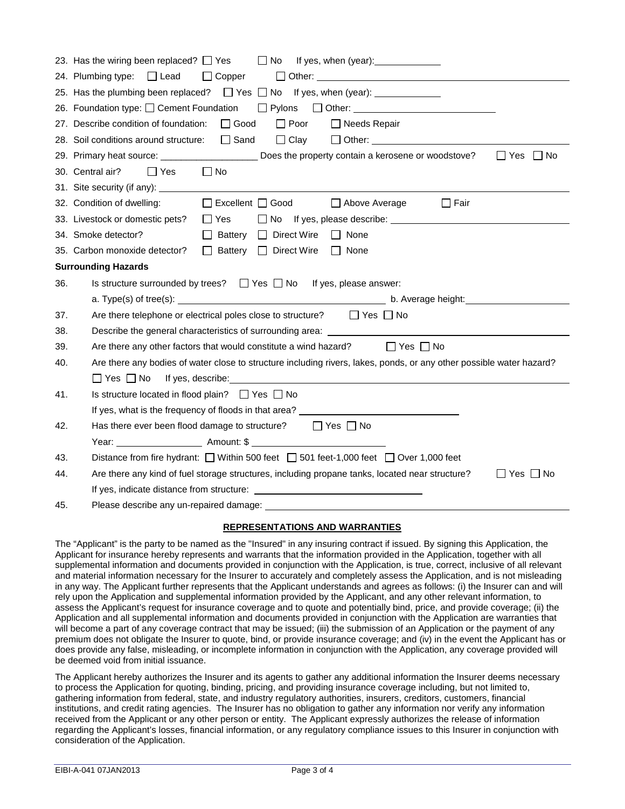|     | 23. Has the wiring been replaced? $\Box$ Yes<br>$\Box$ No<br>If yes, when (year): 1999                                                                                                                                                                                      |
|-----|-----------------------------------------------------------------------------------------------------------------------------------------------------------------------------------------------------------------------------------------------------------------------------|
|     | 24. Plumbing type: □ Lead<br>$\Box$ Copper                                                                                                                                                                                                                                  |
|     | 25. Has the plumbing been replaced? $\Box$ Yes $\Box$ No If yes, when (year):                                                                                                                                                                                               |
|     | 26. Foundation type: □ Cement Foundation □ Pylons □ Other: _____________________                                                                                                                                                                                            |
|     | $\Box$ Good<br>$\Box$ Poor<br>27. Describe condition of foundation:<br>$\Box$ Needs Repair                                                                                                                                                                                  |
|     | 28. Soil conditions around structure:<br>$\Box$ Sand<br>$\Box$ Clay                                                                                                                                                                                                         |
|     | $\Box$ Yes<br>$\Box$ No<br>29. Primary heat source: Does the property contain a kerosene or woodstove?                                                                                                                                                                      |
|     | 30. Central air?<br>$\Box$ Yes<br>  No                                                                                                                                                                                                                                      |
|     |                                                                                                                                                                                                                                                                             |
|     | $\Box$ Excellent $\Box$ Good<br>32. Condition of dwelling:<br>$\Box$ Above Average<br>$\Box$ Fair                                                                                                                                                                           |
|     | 33. Livestock or domestic pets? $\Box$ Yes<br>□ No If yes, please describe: University of the Material Property of the Material Property of the Material Property of the Material Property of the Material Property of the Material Property of the Material Property of th |
|     | 34. Smoke detector?<br>$\Box$ Battery $\Box$ Direct Wire<br>$\Box$ None                                                                                                                                                                                                     |
|     | 35. Carbon monoxide detector?<br>□ Battery □ Direct Wire<br>$\Box$ None                                                                                                                                                                                                     |
|     | <b>Surrounding Hazards</b>                                                                                                                                                                                                                                                  |
|     |                                                                                                                                                                                                                                                                             |
| 36. | Is structure surrounded by trees? $\Box$ Yes $\Box$ No If yes, please answer:                                                                                                                                                                                               |
|     |                                                                                                                                                                                                                                                                             |
| 37. | Are there telephone or electrical poles close to structure? $\Box$ Yes $\Box$ No                                                                                                                                                                                            |
| 38. |                                                                                                                                                                                                                                                                             |
| 39. | Are there any other factors that would constitute a wind hazard?<br>$\Box$ Yes $\Box$ No                                                                                                                                                                                    |
| 40. | Are there any bodies of water close to structure including rivers, lakes, ponds, or any other possible water hazard?                                                                                                                                                        |
|     |                                                                                                                                                                                                                                                                             |
| 41. | Is structure located in flood plain? $\Box$ Yes $\Box$ No                                                                                                                                                                                                                   |
|     | If yes, what is the frequency of floods in that area? __________________________                                                                                                                                                                                            |
| 42. | Has there ever been flood damage to structure? $\Box$ Yes $\Box$ No                                                                                                                                                                                                         |
|     |                                                                                                                                                                                                                                                                             |
| 43. | Distance from fire hydrant: $\Box$ Within 500 feet $\Box$ 501 feet-1,000 feet $\Box$ Over 1,000 feet                                                                                                                                                                        |
| 44. | Are there any kind of fuel storage structures, including propane tanks, located near structure?<br>$\Box$ Yes $\Box$ No                                                                                                                                                     |
|     |                                                                                                                                                                                                                                                                             |

## **REPRESENTATIONS AND WARRANTIES**

The "Applicant" is the party to be named as the "Insured" in any insuring contract if issued. By signing this Application, the Applicant for insurance hereby represents and warrants that the information provided in the Application, together with all supplemental information and documents provided in conjunction with the Application, is true, correct, inclusive of all relevant and material information necessary for the Insurer to accurately and completely assess the Application, and is not misleading in any way. The Applicant further represents that the Applicant understands and agrees as follows: (i) the Insurer can and will rely upon the Application and supplemental information provided by the Applicant, and any other relevant information, to assess the Applicant's request for insurance coverage and to quote and potentially bind, price, and provide coverage; (ii) the Application and all supplemental information and documents provided in conjunction with the Application are warranties that will become a part of any coverage contract that may be issued; (iii) the submission of an Application or the payment of any premium does not obligate the Insurer to quote, bind, or provide insurance coverage; and (iv) in the event the Applicant has or does provide any false, misleading, or incomplete information in conjunction with the Application, any coverage provided will be deemed void from initial issuance.

The Applicant hereby authorizes the Insurer and its agents to gather any additional information the Insurer deems necessary to process the Application for quoting, binding, pricing, and providing insurance coverage including, but not limited to, gathering information from federal, state, and industry regulatory authorities, insurers, creditors, customers, financial institutions, and credit rating agencies. The Insurer has no obligation to gather any information nor verify any information received from the Applicant or any other person or entity. The Applicant expressly authorizes the release of information regarding the Applicant's losses, financial information, or any regulatory compliance issues to this Insurer in conjunction with consideration of the Application.